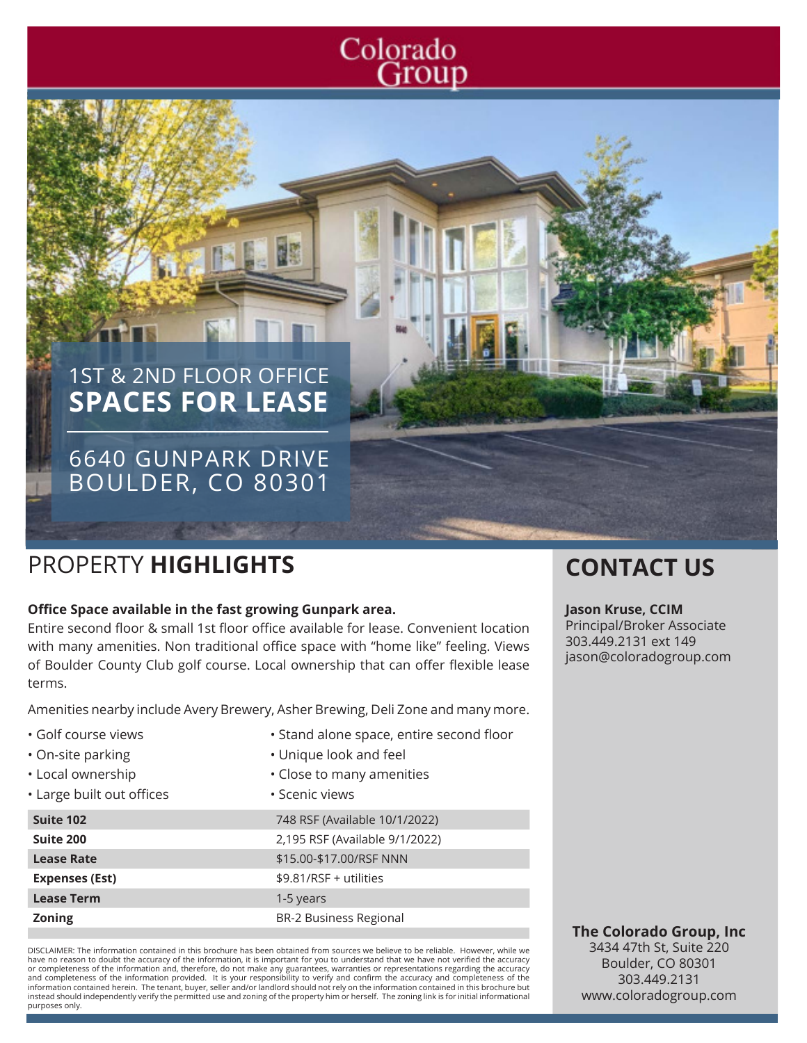# Colorado Group

# 1ST & 2ND FLOOR OFFICE **SPACES FOR LEASE**

# 6640 GUNPARK DRIVE BOULDER, CO 80301

# PROPERTY **HIGHLIGHTS CONTACT US**

#### **Office Space available in the fast growing Gunpark area.**

Entire second floor & small 1st floor office available for lease. Convenient location with many amenities. Non traditional office space with "home like" feeling. Views of Boulder County Club golf course. Local ownership that can offer flexible lease terms.

Amenities nearby include Avery Brewery, Asher Brewing, Deli Zone and many more.

- Golf course views
- On-site parking
- Local ownership
- Large built out offices

| Suite 102             | 748 RSF (    |
|-----------------------|--------------|
| Suite 200             | 2,195 RSI    |
| <b>Lease Rate</b>     | $$15.00 - $$ |
| <b>Expenses (Est)</b> | \$9.81/RS    |
| <b>Lease Term</b>     | 1-5 years    |
| <b>Zoning</b>         | BR-2 Bus     |

- Stand alone space, entire second floor
- Unique look and feel
- Close to many amenities
- Scenic views

F (Available 10/1/2022) **Suite 200** 2,195 RSF (Available 9/1/2022) **Lease Rate** \$15.00-\$17.00/RSF NNN **Expendition** + 3.85 **Zoning** BR-2 Business Regional

DISCLAIMER: The information contained in this brochure has been obtained from sources we believe to be reliable. However, while we have no reason to doubt the accuracy of the information, it is important for you to understand that we have not verified the accuracy or completeness of the information and, therefore, do not make any guarantees, warranties or representations regarding the accuracy<br>and completeness of the information provided. It is your responsibility to verify and con information contained herein. The tenant, buyer, seller and/or landlord should not rely on the information contained in this brochure but instead should independently verify the permitted use and zoning of the property him or herself. The zoning link is for initial informational purposes only.

#### **Jason Kruse, CCIM**

Principal/Broker Associate 303.449.2131 ext 149 jason@coloradogroup.com

**The Colorado Group, Inc** 3434 47th St, Suite 220 Boulder, CO 80301 303.449.2131 www.coloradogroup.com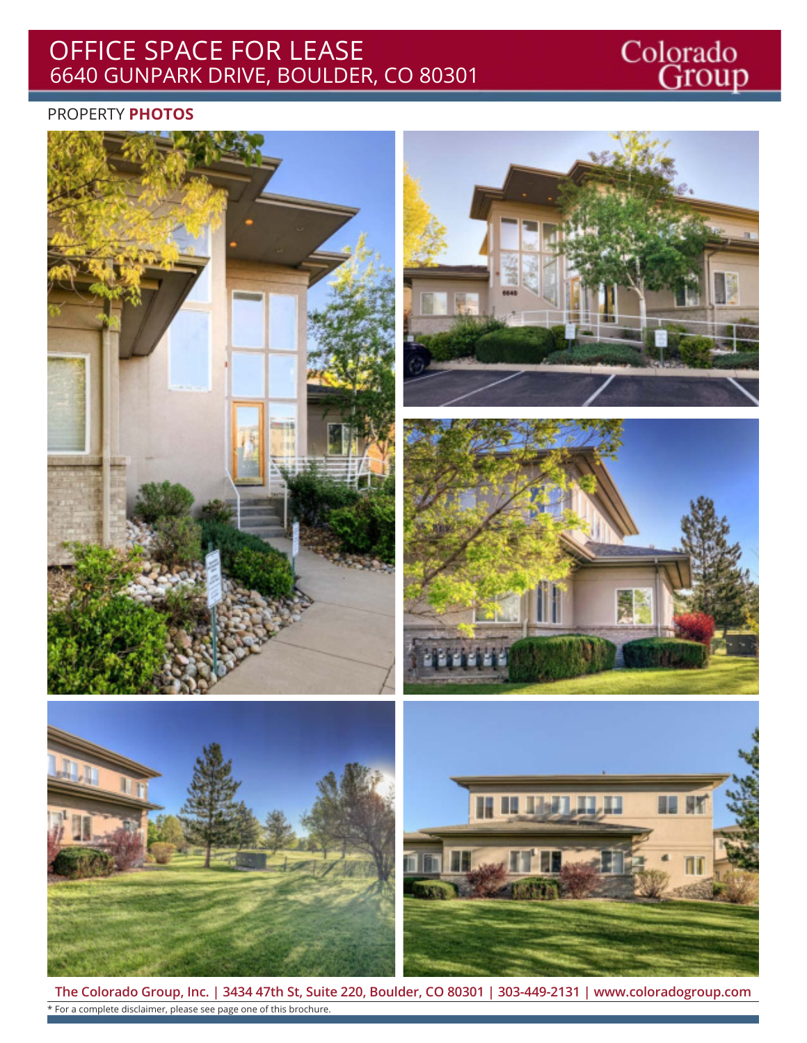#### OFFICE SPACE FOR LEASE 6640 GUNPARK DRIVE, BOULDER, CO 80301

# Colorado<br>Group

#### PROPERTY **PHOTOS**



**The Colorado Group, Inc. | 3434 47th St, Suite 220, Boulder, CO 80301 | 303-449-2131 | www.coloradogroup.com** \* For a complete disclaimer, please see page one of this brochure.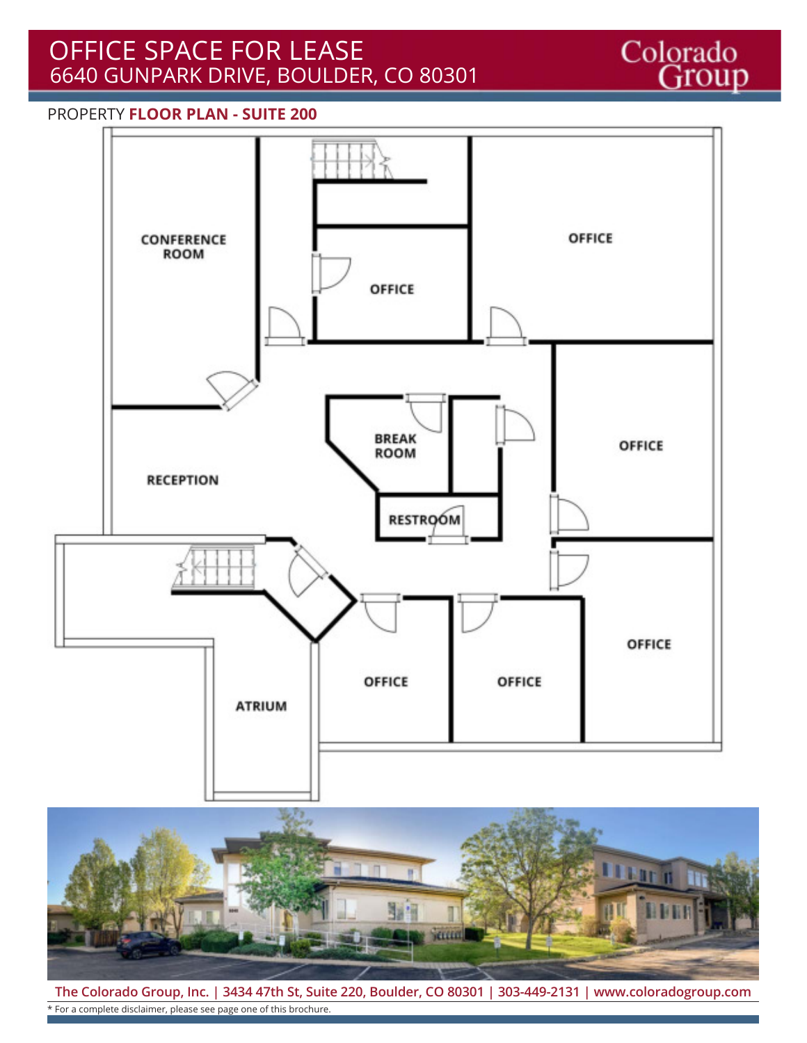## OFFICE SPACE FOR LEASE 6640 GUNPARK DRIVE, BOULDER, CO 80301

Colorado<br>Group

#### PROPERTY **FLOOR PLAN - SUITE 200**





**The Colorado Group, Inc. | 3434 47th St, Suite 220, Boulder, CO 80301 | 303-449-2131 | www.coloradogroup.com** \* For a complete disclaimer, please see page one of this brochure.